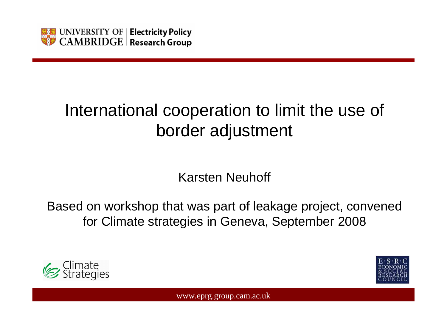

# International cooperation to limit the use of border adjustment

Karsten Neuhoff

Based on workshop that was part of leakage project, convened for Climate strategies in Geneva, September 2008



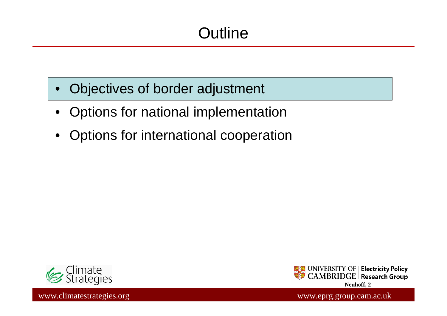# **Outline**

- •Objectives of border adjustment
- •Options for national implementation
- •Options for international cooperation



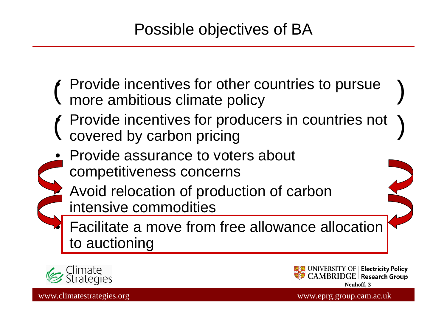### Possible objectives of BA

- •( Provide incentives for other countries to pursue ) more ambitious climate policy
- ( Provide incentives for producers in countries not ) •covered by carbon pricing
- Provide assurance to voters about competitiveness concerns
	- Avoid relocation of production of carbon intensive commodities

 Facilitate a move from free allowance allocation to auctioning



•

•

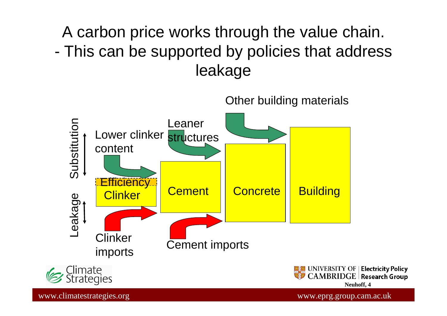#### A carbon price works through the value chain. - This can be supported by policies that address leakage

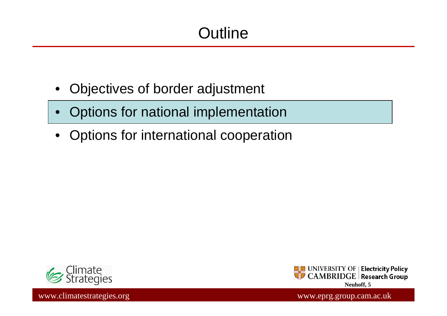# **Outline**

- $\bullet$ Objectives of border adjustment
- $\bullet$ Options for national implementation
- •Options for international cooperation



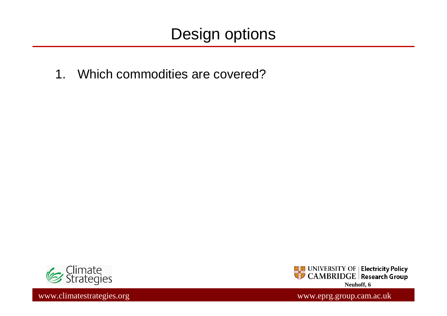1. Which commodities are covered?



www.climatestrategies.org www.eprg.group.cam.ac.uk

**EXECUTERSITY OF Electricity Policy**<br>SHO CAMBRIDGE Research Group **Neuhoff, 6**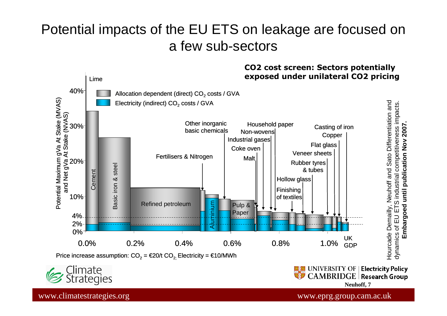### Potential impacts of the EU ETS on leakage are focused on a few sub-sectors

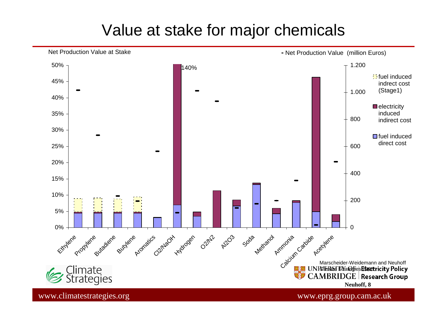### Value at stake for major chemicals

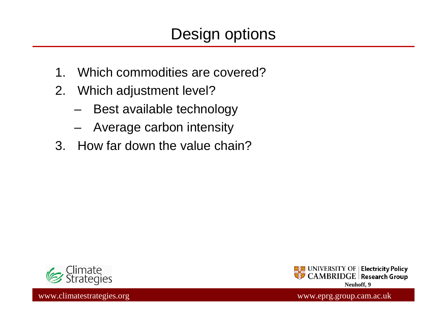- 1. Which commodities are covered?
- 2. Which adjustment level?
	- **Links of the Company** Best available technology
	- –Average carbon intensity
- 3. How far down the value chain?



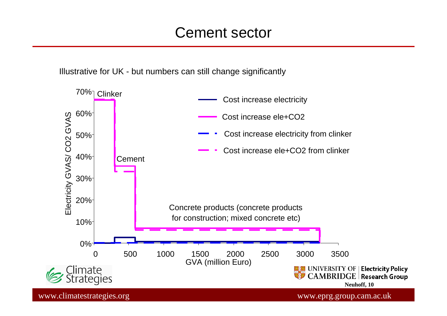#### Cement sector

Illustrative for UK - but numbers can still change significantly

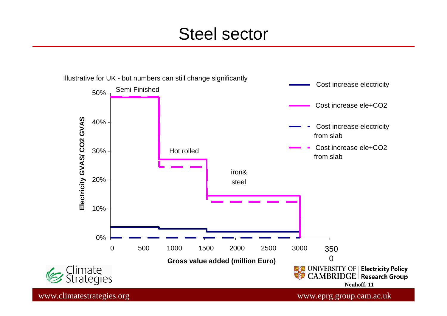## Steel sector

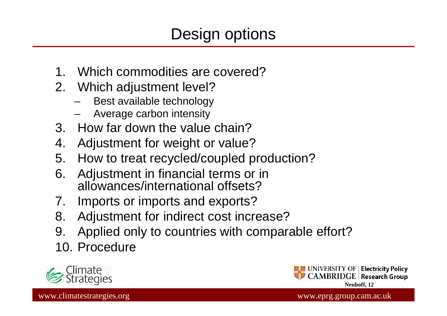- Which commodities are covered?
- 2. Which adjustment level?
	- Best available technology–
	- Average carbon intensity –
- 3. How far down the value chain?
- 4. Adjustment for weight or value?
- 5. How to treat recycled/coupled production?
- 6. Adjustment in financial terms or in allowances/international offsets?
- 7. Imports or imports and exports?
- 8. Adjustment for indirect cost increase?
- 9. Applied only to countries with comparable effort?
- 10. Procedure

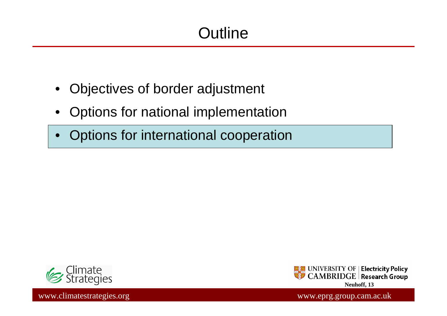# **Outline**

- $\bullet$ Objectives of border adjustment
- •Options for national implementation
- •Options for international cooperation



**Base** UNIVERSITY OF | **Electricity Policy**<br>| CAMBRIDGE | Research Group **Neuhoff, 13**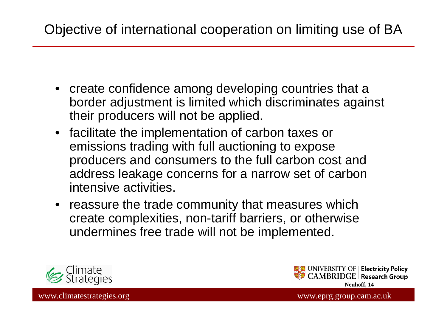### Objective of international cooperation on limiting use of BA

- create confidence among developing countries that a border adjustment is limited which discriminates against their producers will not be applied.
- facilitate the implementation of carbon taxes or emissions trading with full auctioning to expose producers and consumers to the full carbon cost and address leakage concerns for a narrow set of carbonintensive activities.
- reassure the trade community that measures which create complexities, non-tariff barriers, or otherwise undermines free trade will not be implemented.



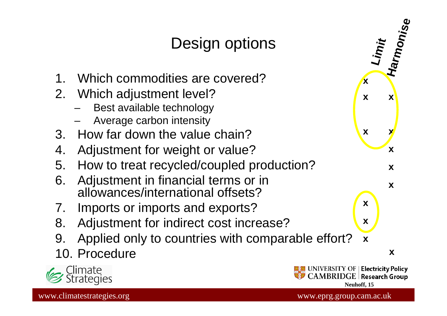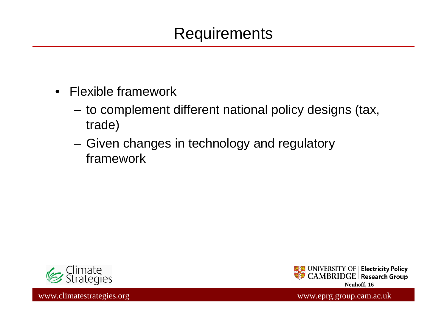## Requirements

- Flexible framework
	- – to complement different national policy designs (tax, trade)
	- and the state of the Given changes in technology and regulatory framework

![](_page_15_Picture_4.jpeg)

![](_page_15_Picture_5.jpeg)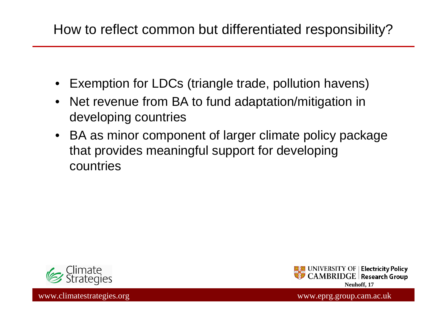### How to reflect common but differentiated responsibility?

- •Exemption for LDCs (triangle trade, pollution havens)
- Net revenue from BA to fund adaptation/mitigation in developing countries
- BA as minor component of larger climate policy package that provides meaningful support for developing countries

![](_page_16_Picture_4.jpeg)

![](_page_16_Picture_5.jpeg)